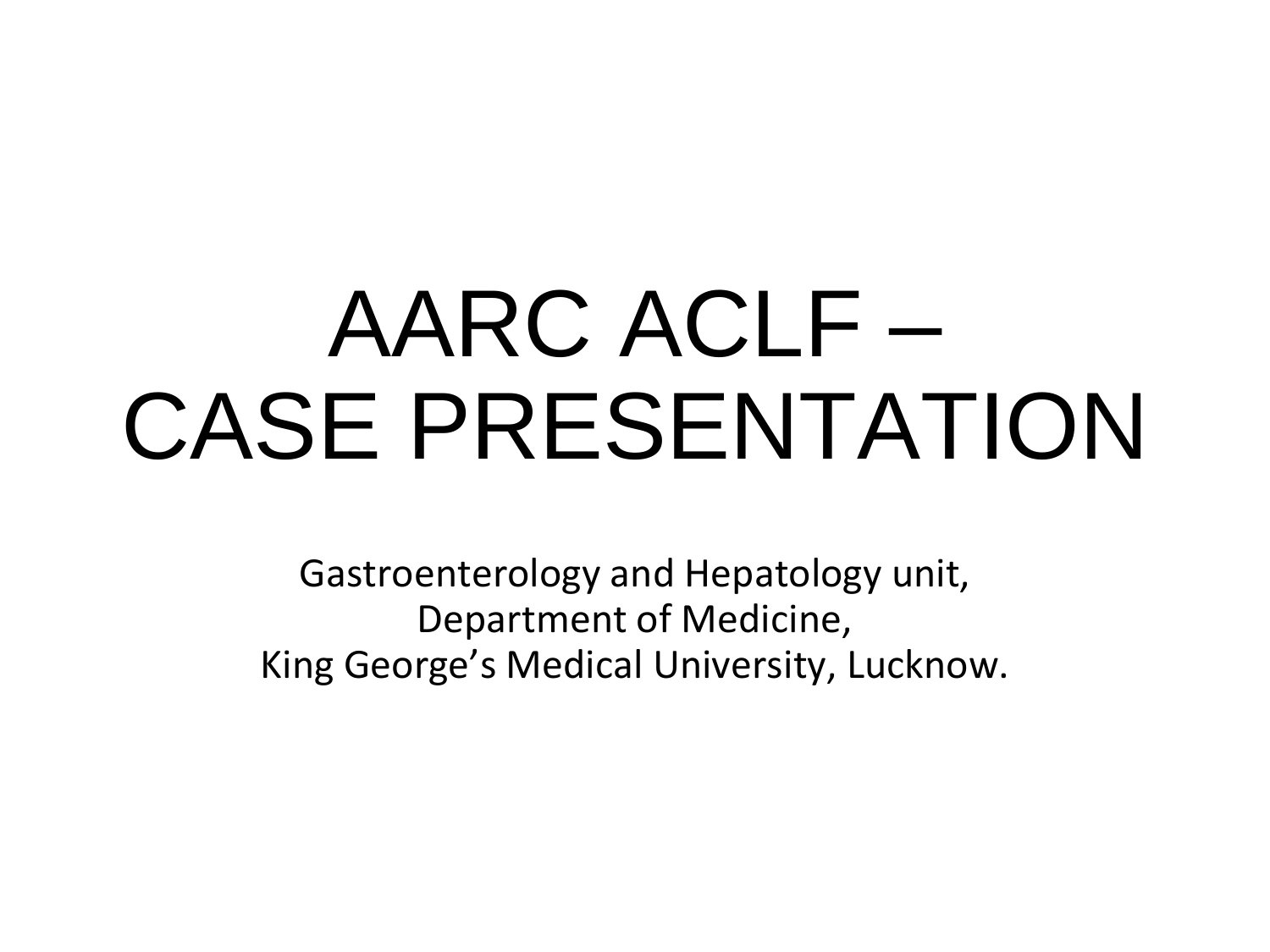# AARC ACLF – CASE PRESENTATION

Gastroenterology and Hepatology unit, Department of Medicine, King George's Medical University, Lucknow.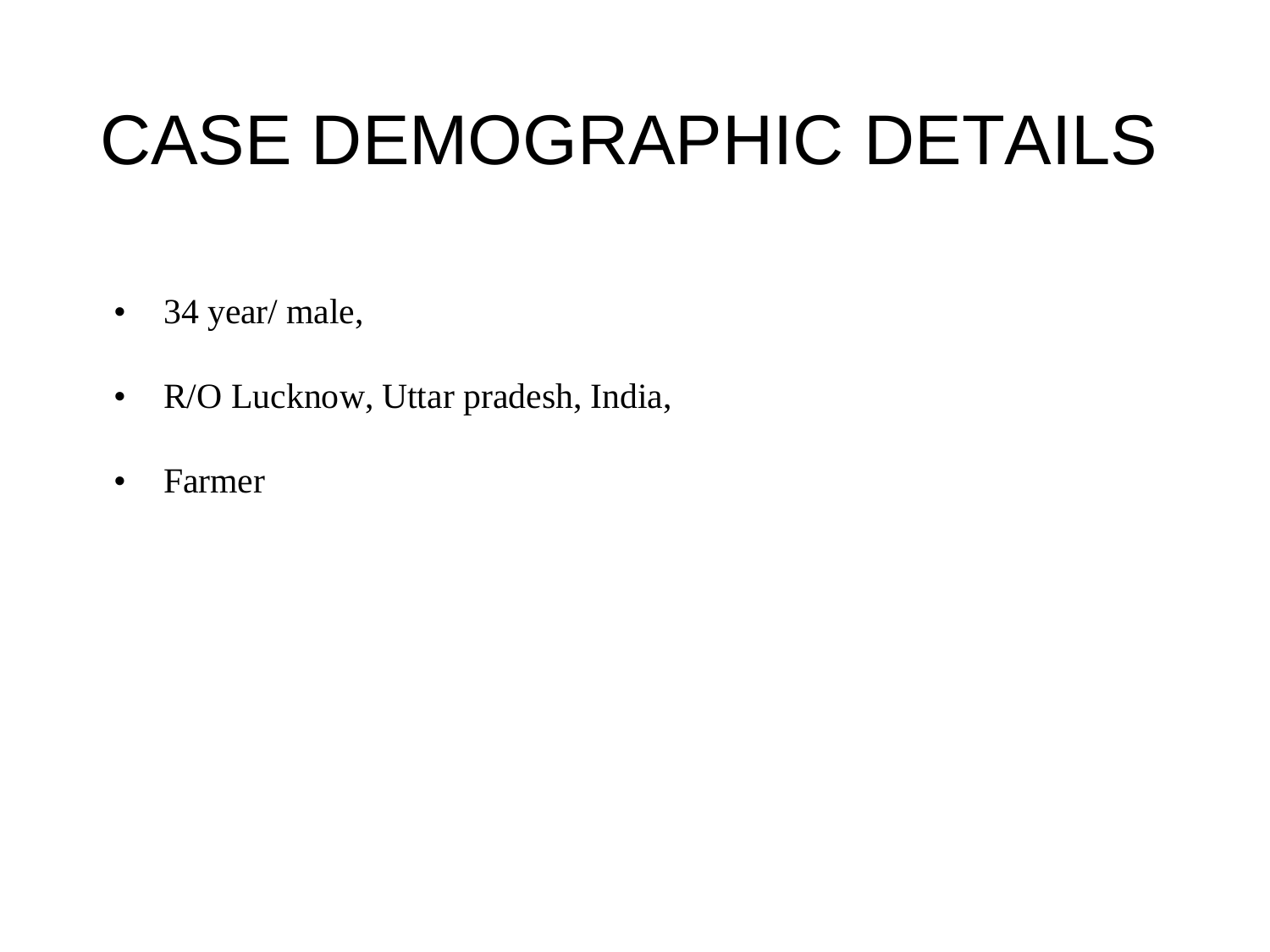### CASE DEMOGRAPHIC DETAILS

- 34 year/ male,
- R/O Lucknow, Uttar pradesh, India,
- Farmer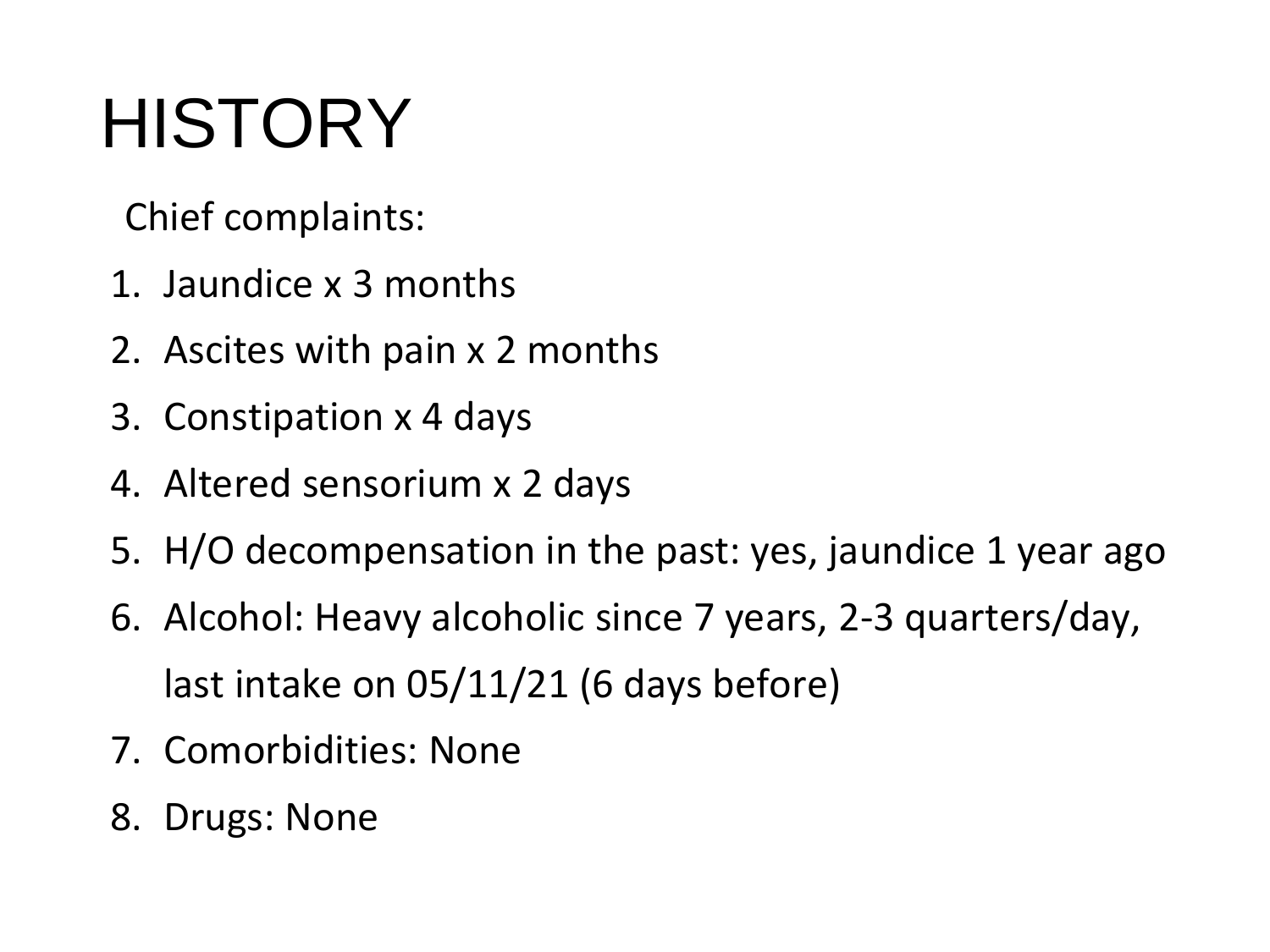## **HISTORY**

Chief complaints:

- 1. Jaundice x 3 months
- 2. Ascites with pain x 2 months
- 3. Constipation x 4 days
- 4. Altered sensorium x 2 days
- 5. H/O decompensation in the past: yes, jaundice 1 year ago
- 6. Alcohol: Heavy alcoholic since 7 years, 2-3 quarters/day, last intake on 05/11/21 (6 days before)
- 7. Comorbidities: None
- 8. Drugs: None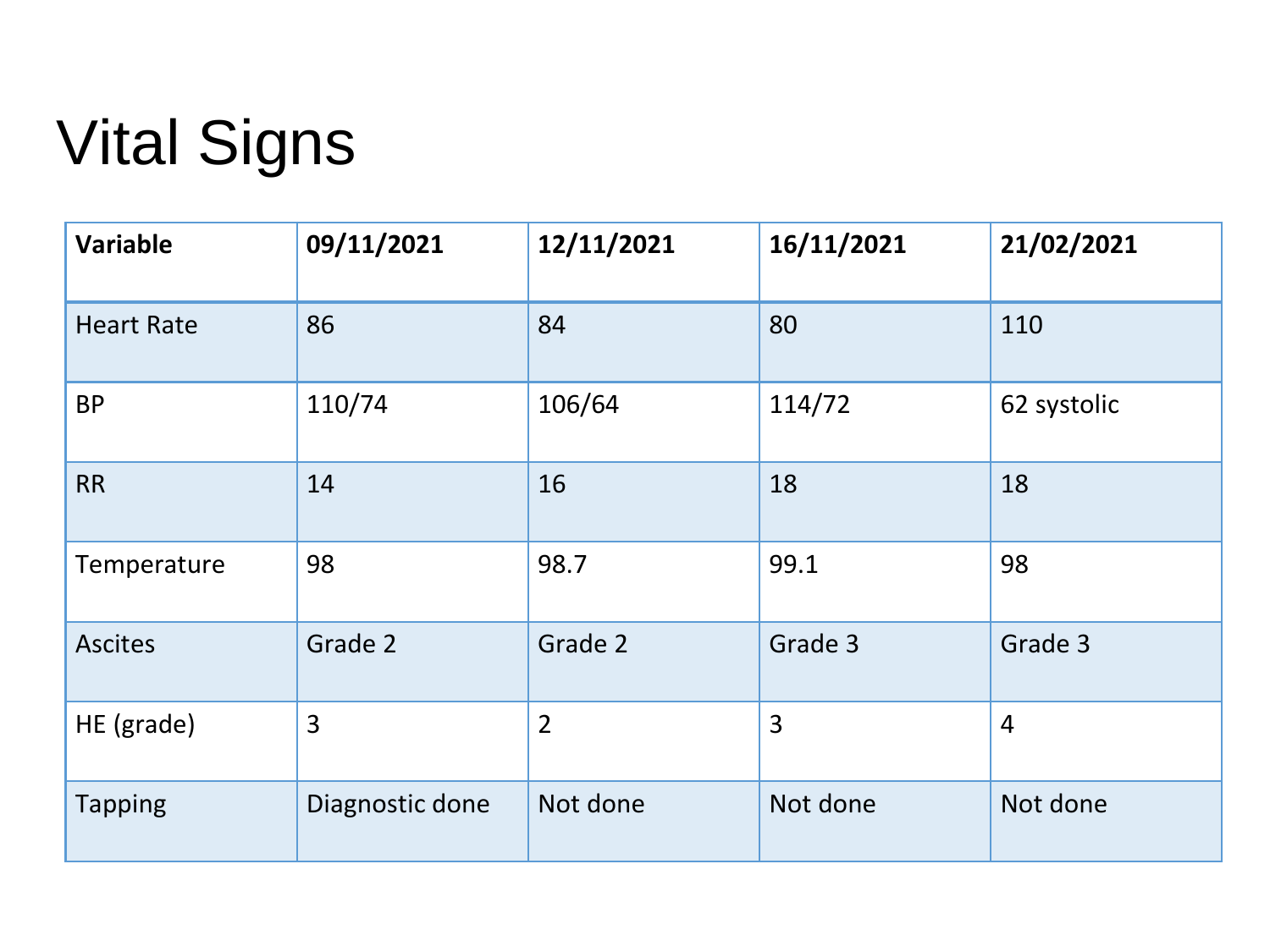### Vital Signs

| <b>Variable</b>   | 09/11/2021      | 12/11/2021     | 16/11/2021     | 21/02/2021     |
|-------------------|-----------------|----------------|----------------|----------------|
| <b>Heart Rate</b> | 86              | 84             | 80             | 110            |
| <b>BP</b>         | 110/74          | 106/64         | 114/72         | 62 systolic    |
| <b>RR</b>         | 14              | 16             | 18             | 18             |
| Temperature       | 98              | 98.7           | 99.1           | 98             |
| <b>Ascites</b>    | Grade 2         | Grade 2        | Grade 3        | Grade 3        |
| HE (grade)        | 3               | $\overline{2}$ | $\overline{3}$ | $\overline{4}$ |
| <b>Tapping</b>    | Diagnostic done | Not done       | Not done       | Not done       |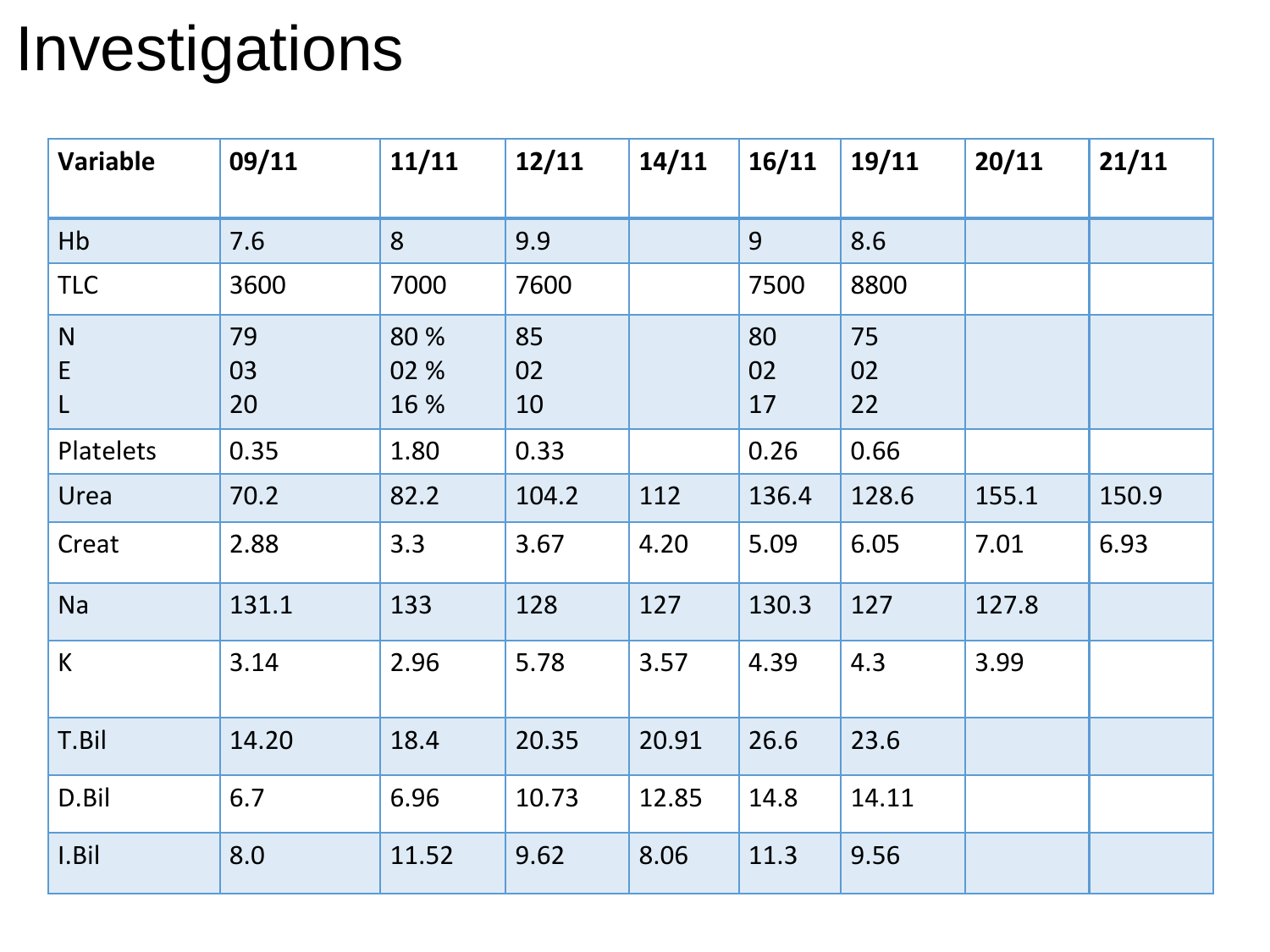| <b>Variable</b> | 09/11          | 11/11                | 12/11          | 14/11 | 16/11          | 19/11          | 20/11 | 21/11 |
|-----------------|----------------|----------------------|----------------|-------|----------------|----------------|-------|-------|
| Hb              | 7.6            | 8                    | 9.9            |       | 9              | 8.6            |       |       |
| <b>TLC</b>      | 3600           | 7000                 | 7600           |       | 7500           | 8800           |       |       |
| N<br>E<br>L     | 79<br>03<br>20 | 80 %<br>02 %<br>16 % | 85<br>02<br>10 |       | 80<br>02<br>17 | 75<br>02<br>22 |       |       |
| Platelets       | 0.35           | 1.80                 | 0.33           |       | 0.26           | 0.66           |       |       |
| Urea            | 70.2           | 82.2                 | 104.2          | 112   | 136.4          | 128.6          | 155.1 | 150.9 |
| Creat           | 2.88           | 3.3                  | 3.67           | 4.20  | 5.09           | 6.05           | 7.01  | 6.93  |
| <b>Na</b>       | 131.1          | 133                  | 128            | 127   | 130.3          | 127            | 127.8 |       |
| K               | 3.14           | 2.96                 | 5.78           | 3.57  | 4.39           | 4.3            | 3.99  |       |
| T.Bil           | 14.20          | 18.4                 | 20.35          | 20.91 | 26.6           | 23.6           |       |       |
| D.Bil           | 6.7            | 6.96                 | 10.73          | 12.85 | 14.8           | 14.11          |       |       |
| I.Bil           | 8.0            | 11.52                | 9.62           | 8.06  | 11.3           | 9.56           |       |       |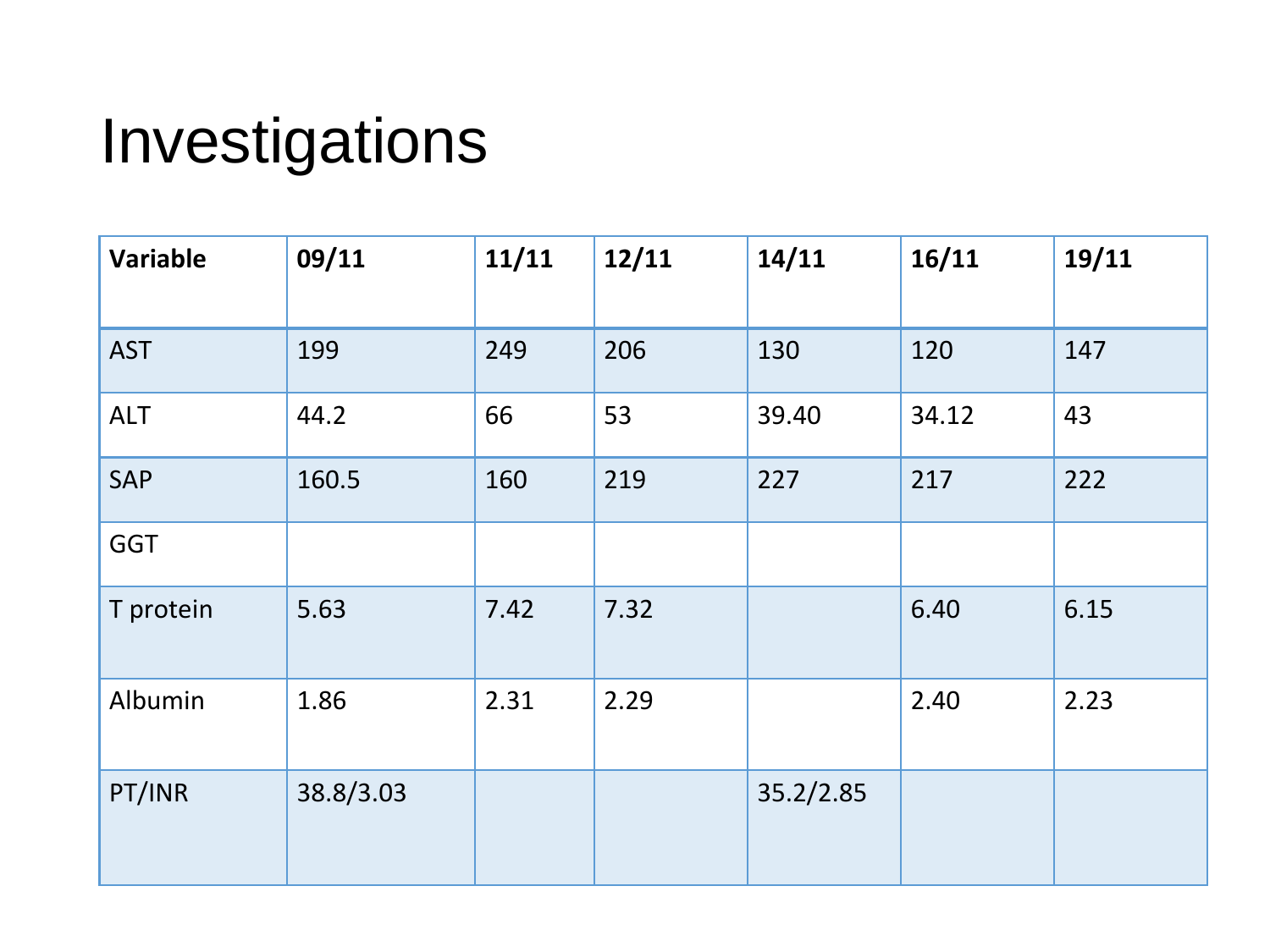| <b>Variable</b> | 09/11     | 11/11 | 12/11 | 14/11     | 16/11 | 19/11 |
|-----------------|-----------|-------|-------|-----------|-------|-------|
| <b>AST</b>      | 199       | 249   | 206   | 130       | 120   | 147   |
| <b>ALT</b>      | 44.2      | 66    | 53    | 39.40     | 34.12 | 43    |
| SAP             | 160.5     | 160   | 219   | 227       | 217   | 222   |
| <b>GGT</b>      |           |       |       |           |       |       |
| T protein       | 5.63      | 7.42  | 7.32  |           | 6.40  | 6.15  |
| Albumin         | 1.86      | 2.31  | 2.29  |           | 2.40  | 2.23  |
| PT/INR          | 38.8/3.03 |       |       | 35.2/2.85 |       |       |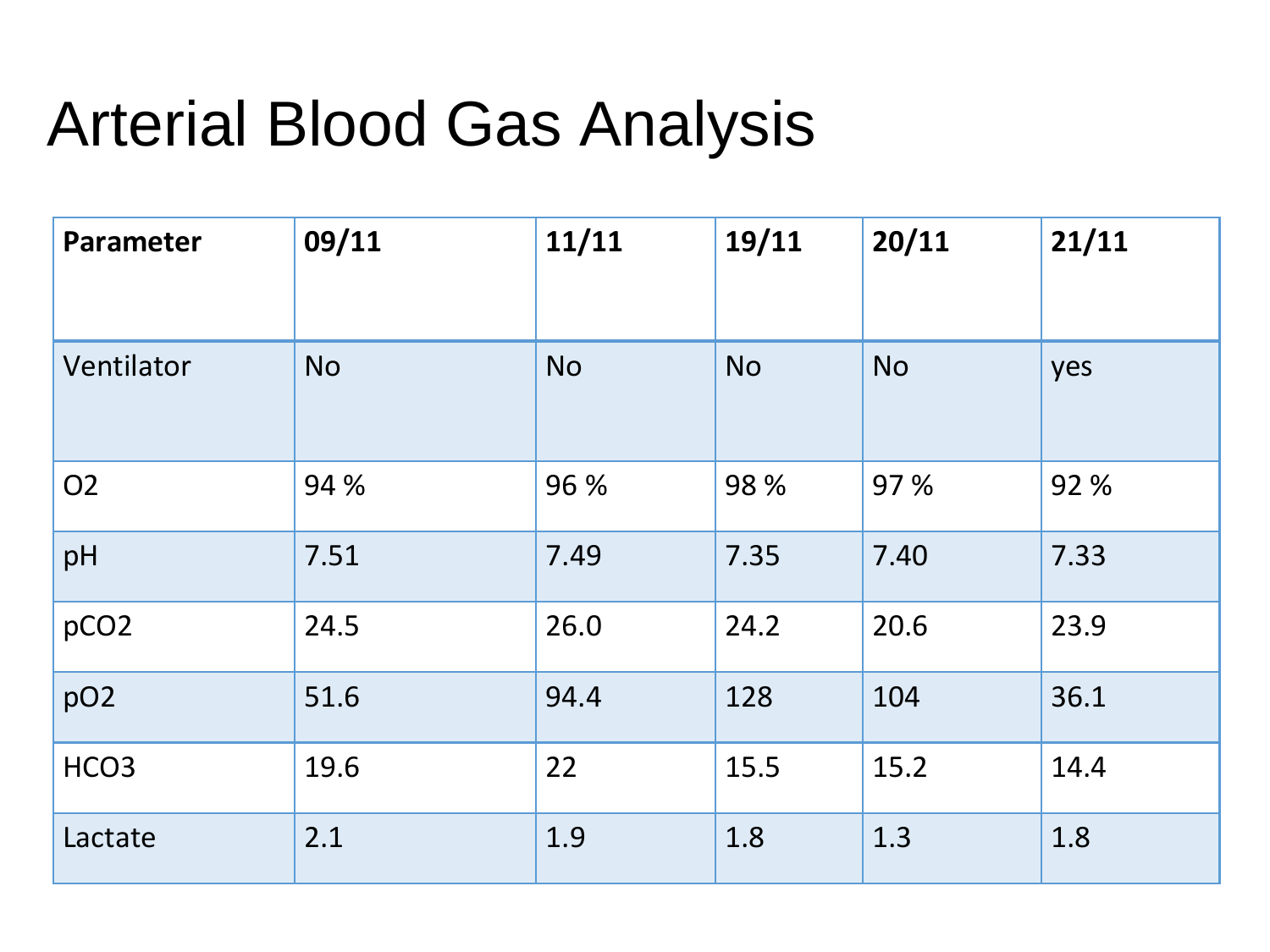#### Arterial Blood Gas Analysis

| <b>Parameter</b> | 09/11     | 11/11     | 19/11     | 20/11     | 21/11 |
|------------------|-----------|-----------|-----------|-----------|-------|
| Ventilator       | <b>No</b> | <b>No</b> | <b>No</b> | <b>No</b> | yes   |
| O <sub>2</sub>   | 94 %      | 96 %      | 98 %      | 97 %      | 92 %  |
| pH               | 7.51      | 7.49      | 7.35      | 7.40      | 7.33  |
| pCO <sub>2</sub> | 24.5      | 26.0      | 24.2      | 20.6      | 23.9  |
| pO <sub>2</sub>  | 51.6      | 94.4      | 128       | 104       | 36.1  |
| HCO <sub>3</sub> | 19.6      | 22        | 15.5      | 15.2      | 14.4  |
| Lactate          | 2.1       | 1.9       | 1.8       | 1.3       | 1.8   |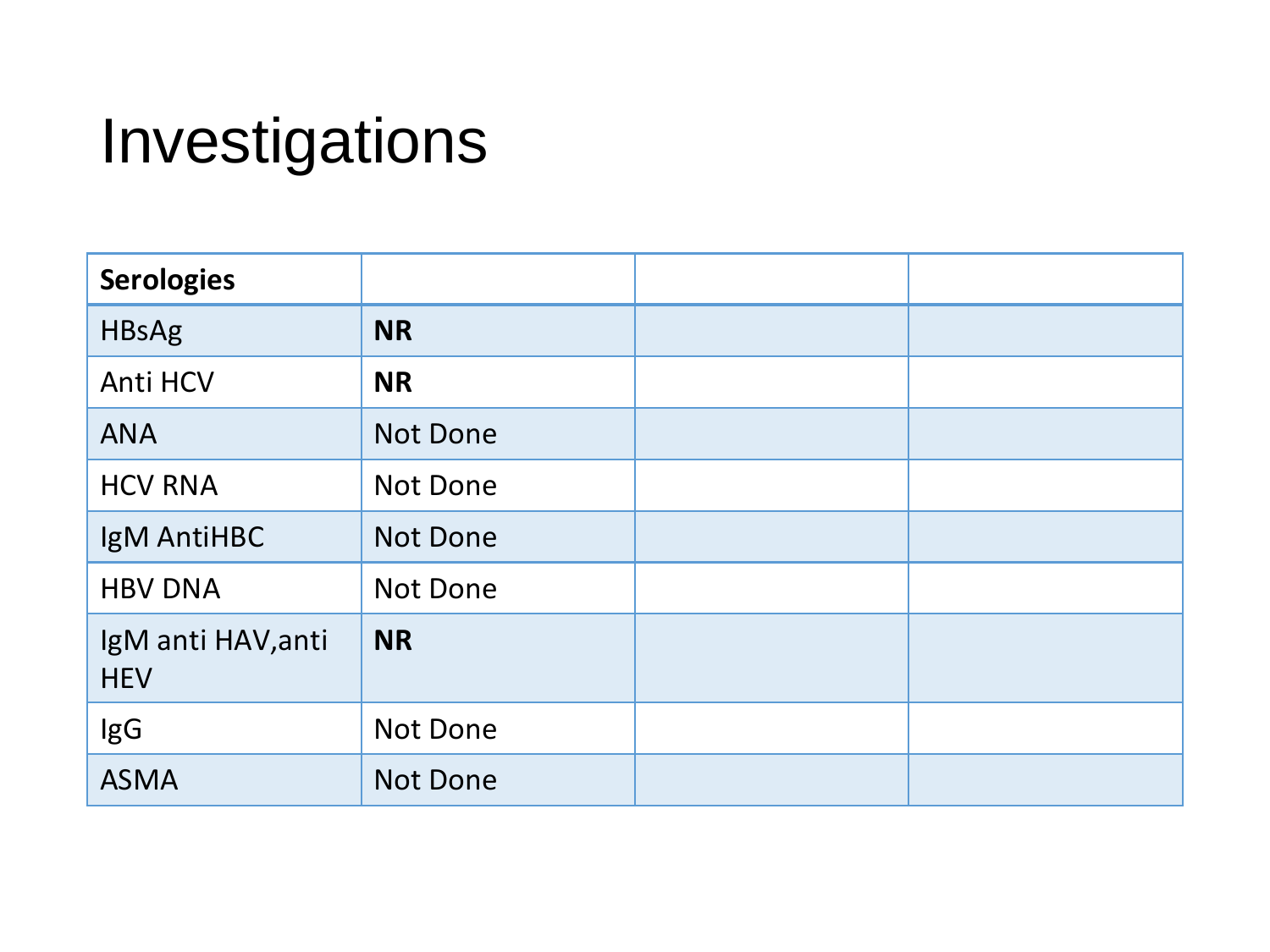| <b>Serologies</b>                |                 |  |
|----------------------------------|-----------------|--|
| <b>HBsAg</b>                     | <b>NR</b>       |  |
| <b>Anti HCV</b>                  | <b>NR</b>       |  |
| <b>ANA</b>                       | <b>Not Done</b> |  |
| <b>HCV RNA</b>                   | Not Done        |  |
| IgM AntiHBC                      | <b>Not Done</b> |  |
| <b>HBV DNA</b>                   | Not Done        |  |
| IgM anti HAV, anti<br><b>HEV</b> | <b>NR</b>       |  |
| IgG                              | Not Done        |  |
| <b>ASMA</b>                      | <b>Not Done</b> |  |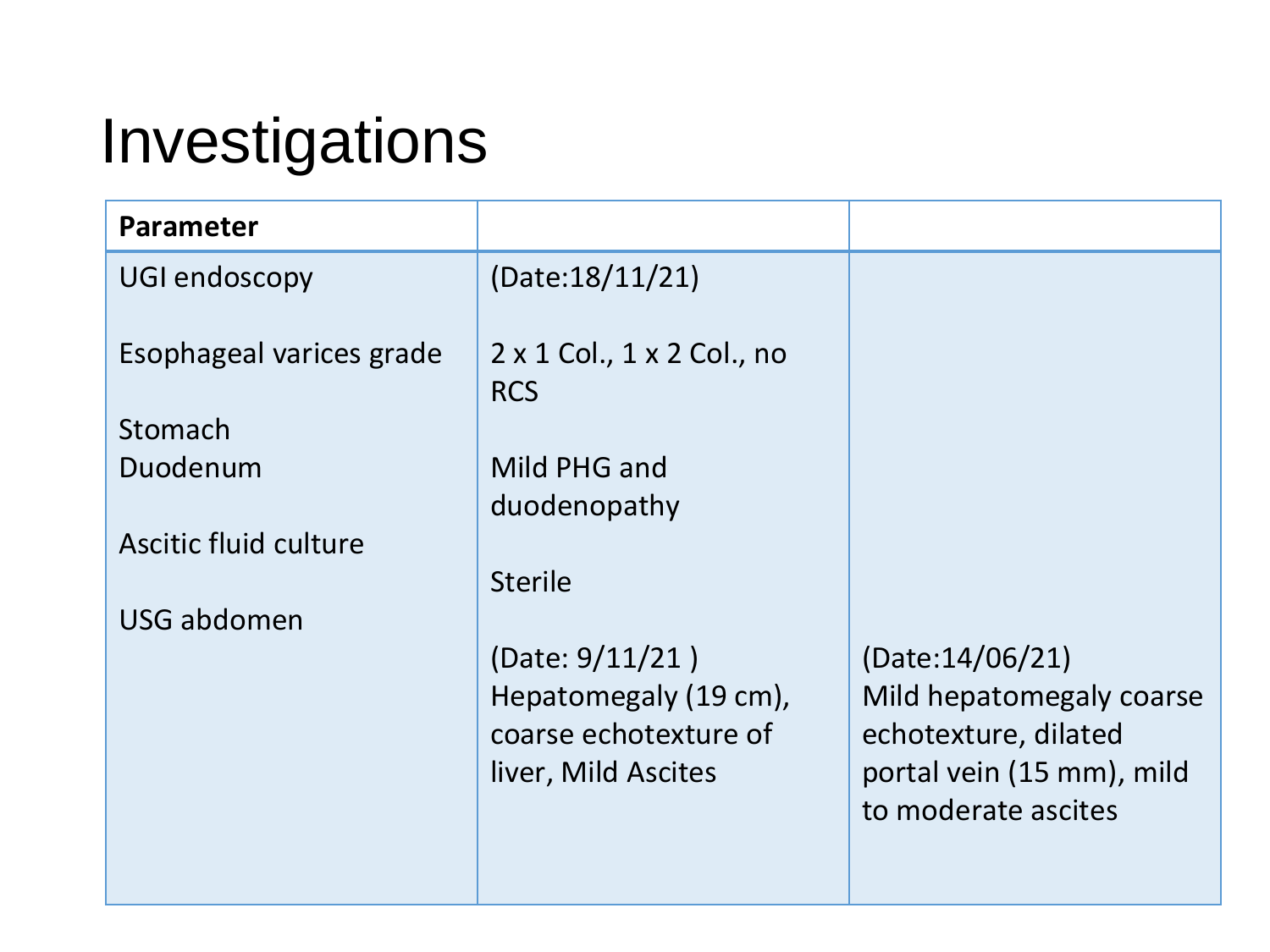| <b>Parameter</b>         |                                                        |                                                  |
|--------------------------|--------------------------------------------------------|--------------------------------------------------|
| UGI endoscopy            | (Date:18/11/21)                                        |                                                  |
| Esophageal varices grade | $2 \times 1$ Col., $1 \times 2$ Col., no<br><b>RCS</b> |                                                  |
| Stomach                  |                                                        |                                                  |
| Duodenum                 | Mild PHG and                                           |                                                  |
|                          | duodenopathy                                           |                                                  |
| Ascitic fluid culture    |                                                        |                                                  |
|                          | <b>Sterile</b>                                         |                                                  |
| USG abdomen              |                                                        |                                                  |
|                          | (Date: $9/11/21$ )                                     | (Date:14/06/21)                                  |
|                          | Hepatomegaly (19 cm),                                  | Mild hepatomegaly coarse                         |
|                          | coarse echotexture of                                  | echotexture, dilated                             |
|                          | liver, Mild Ascites                                    | portal vein (15 mm), mild<br>to moderate ascites |
|                          |                                                        |                                                  |
|                          |                                                        |                                                  |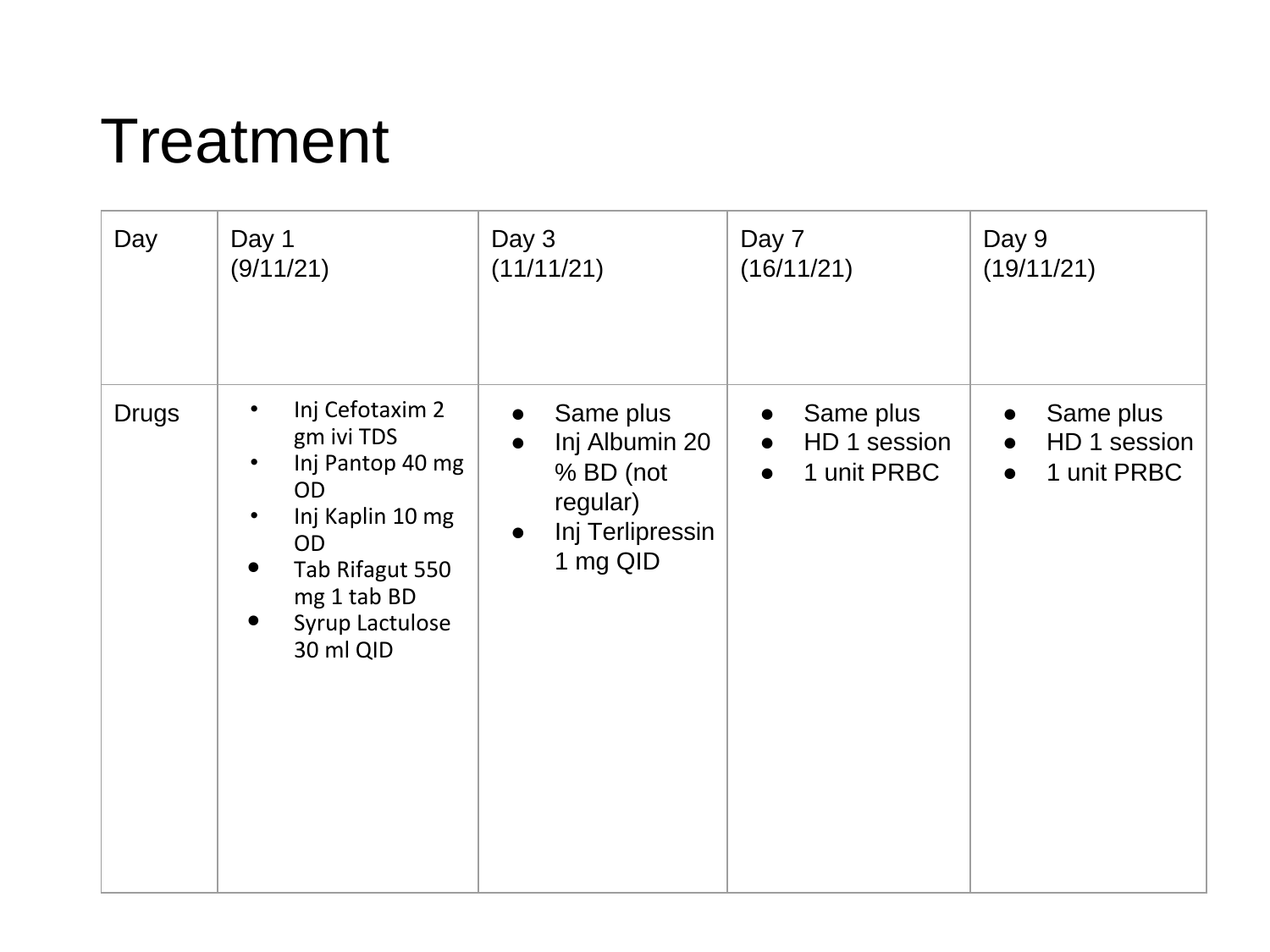#### Treatment

| Day          | Day 1                                                                                                                                                                                             | Day 3                                                                                             | Day 7                                                              | Day 9                                                              |
|--------------|---------------------------------------------------------------------------------------------------------------------------------------------------------------------------------------------------|---------------------------------------------------------------------------------------------------|--------------------------------------------------------------------|--------------------------------------------------------------------|
|              | (9/11/21)                                                                                                                                                                                         | (11/11/21)                                                                                        | (16/11/21)                                                         | (19/11/21)                                                         |
| <b>Drugs</b> | Inj Cefotaxim 2<br>$\bullet$<br>gm ivi TDS<br>Inj Pantop 40 mg<br>$\bullet$<br><b>OD</b><br>Inj Kaplin 10 mg<br>$\bullet$<br>OD<br>Tab Rifagut 550<br>mg 1 tab BD<br>Syrup Lactulose<br>30 ml QID | Same plus<br>$\bullet$<br>Inj Albumin 20<br>% BD (not<br>regular)<br>Inj Terlipressin<br>1 mg QID | Same plus<br>$\bullet$<br>HD 1 session<br>1 unit PRBC<br>$\bullet$ | Same plus<br>$\bullet$<br>HD 1 session<br>1 unit PRBC<br>$\bullet$ |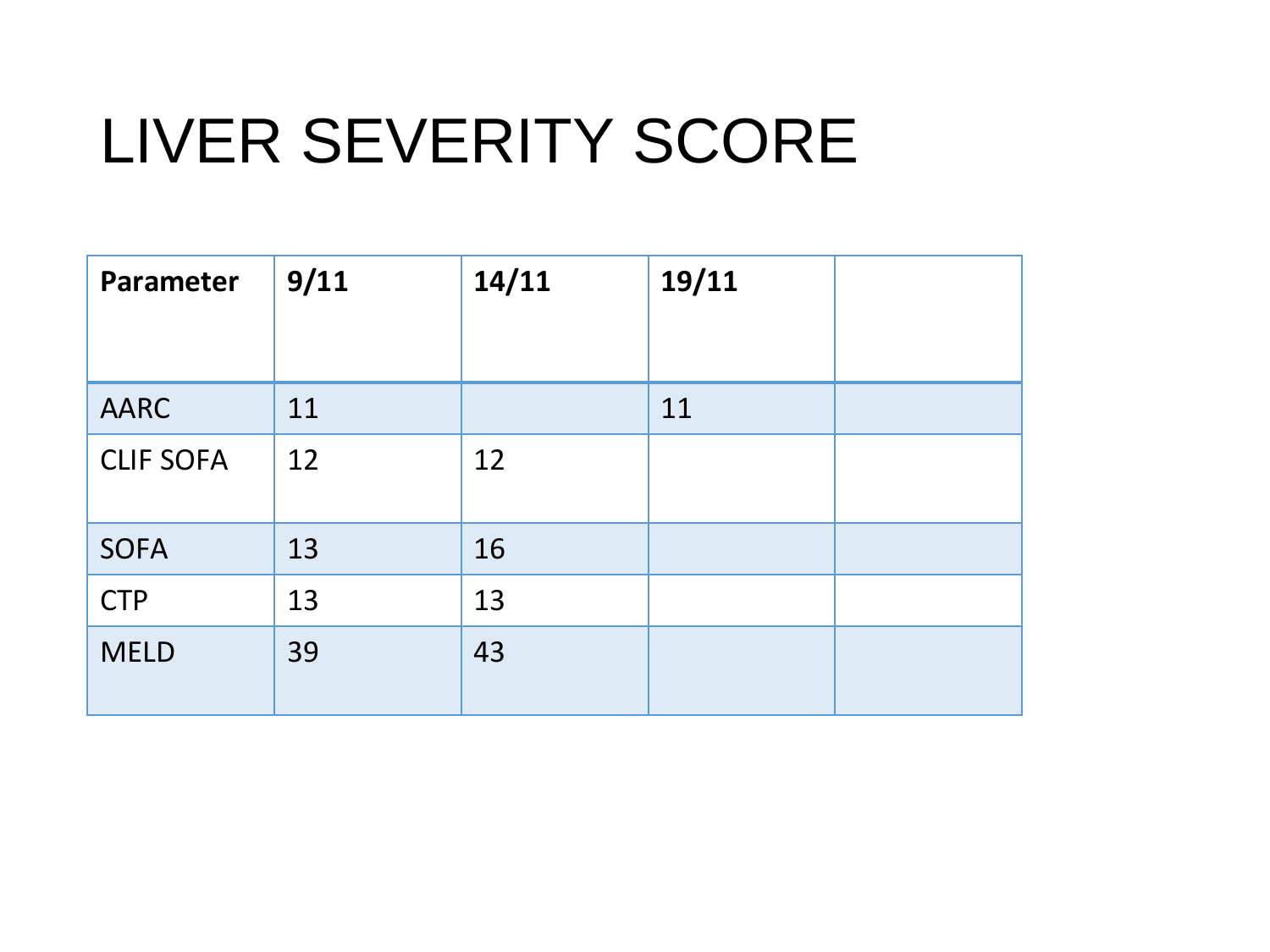#### LIVER SEVERITY SCORE

| Parameter        | 9/11 | 14/11 | 19/11 |  |
|------------------|------|-------|-------|--|
|                  |      |       |       |  |
| <b>AARC</b>      | 11   |       | 11    |  |
| <b>CLIF SOFA</b> | 12   | 12    |       |  |
| <b>SOFA</b>      | 13   | 16    |       |  |
| <b>CTP</b>       | 13   | 13    |       |  |
| <b>MELD</b>      | 39   | 43    |       |  |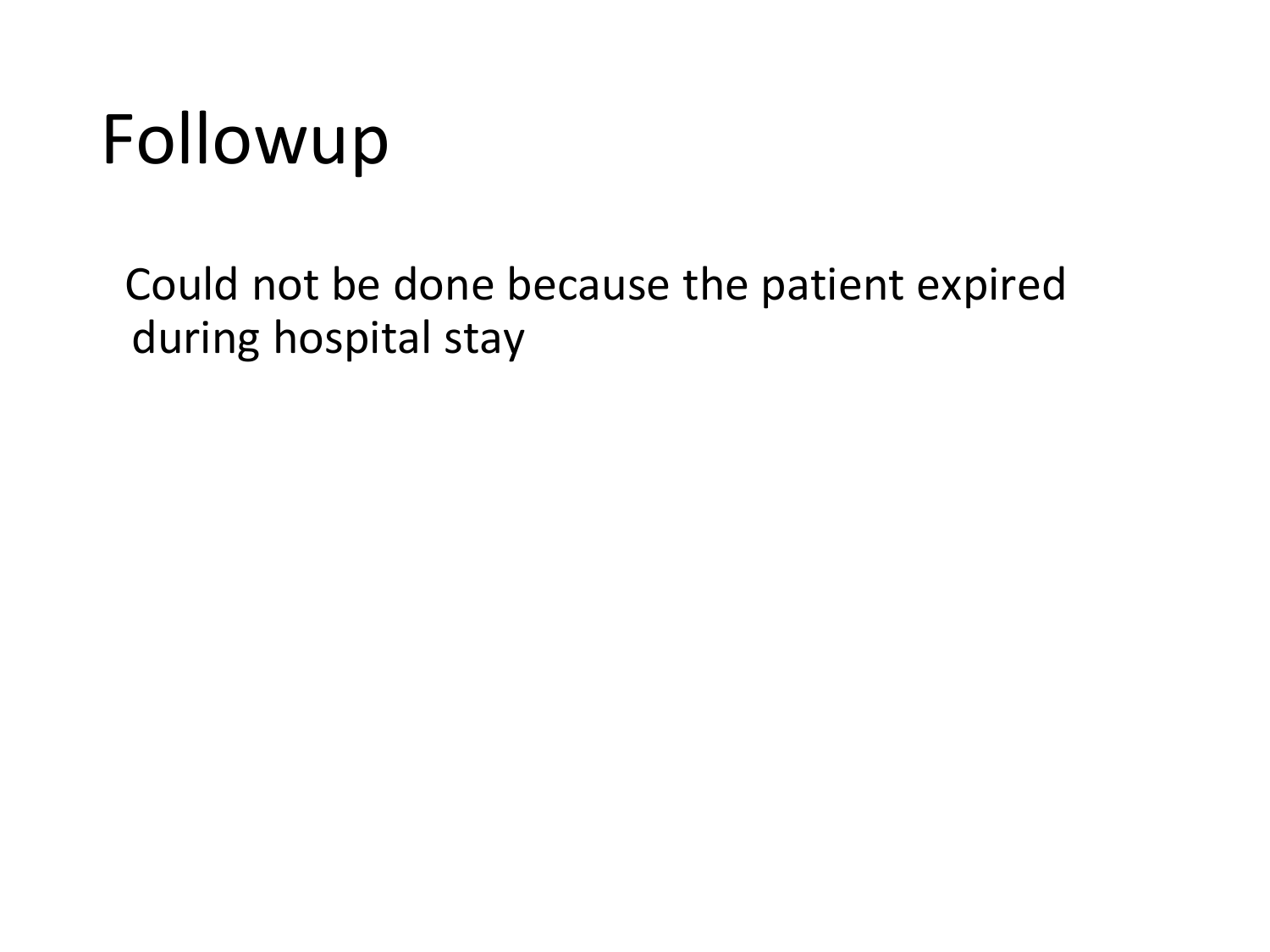### Followup

Could not be done because the patient expired during hospital stay